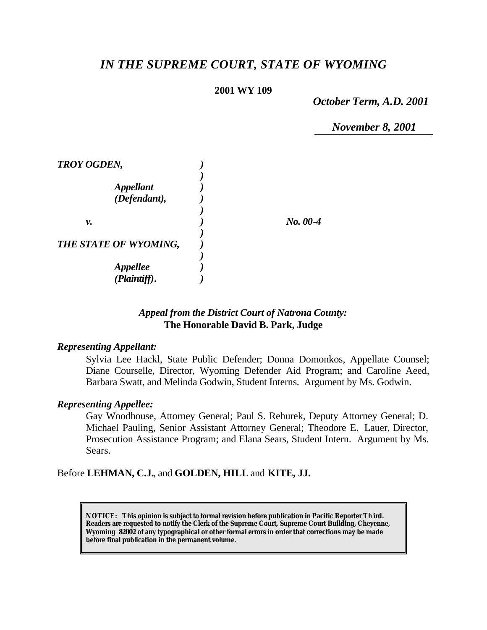# *IN THE SUPREME COURT, STATE OF WYOMING*

#### **2001 WY 109**

*October Term, A.D. 2001*

*November 8, 2001*

| <b>TROY OGDEN,</b>    |            |
|-----------------------|------------|
|                       |            |
| <b>Appellant</b>      |            |
| (Defendant),          |            |
|                       |            |
| ν.                    | $No. 00-4$ |
|                       |            |
| THE STATE OF WYOMING, |            |
|                       |            |
| <b>Appellee</b>       |            |
| (Plaintiff).          |            |

## *Appeal from the District Court of Natrona County:* **The Honorable David B. Park, Judge**

#### *Representing Appellant:*

Sylvia Lee Hackl, State Public Defender; Donna Domonkos, Appellate Counsel; Diane Courselle, Director, Wyoming Defender Aid Program; and Caroline Aeed, Barbara Swatt, and Melinda Godwin, Student Interns. Argument by Ms. Godwin.

#### *Representing Appellee:*

Gay Woodhouse, Attorney General; Paul S. Rehurek, Deputy Attorney General; D. Michael Pauling, Senior Assistant Attorney General; Theodore E. Lauer, Director, Prosecution Assistance Program; and Elana Sears, Student Intern. Argument by Ms. Sears.

Before **LEHMAN, C.J.**, and **GOLDEN, HILL** and **KITE, JJ.**

**NOTICE:** *This opinion is subject to formal revision before publication in Pacific Reporter Th ird. Readers are requested to notify the Clerk of the Supreme Court, Supreme Court Building, Cheyenne, Wyoming 82002 of any typographical or other formal errors in order that corrections may be made before final publication in the permanent volume.*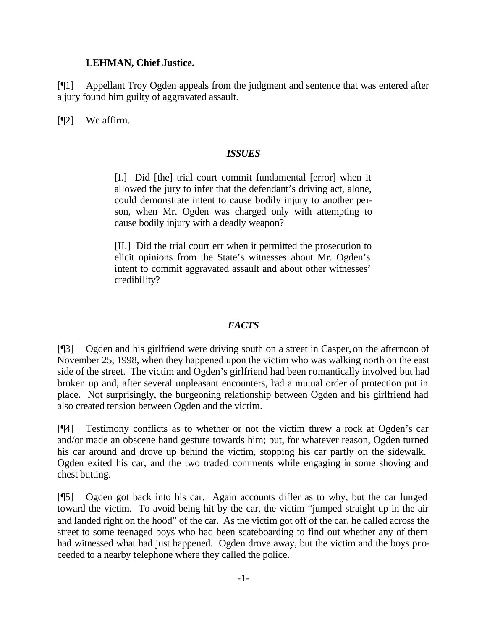#### **LEHMAN, Chief Justice.**

[¶1] Appellant Troy Ogden appeals from the judgment and sentence that was entered after a jury found him guilty of aggravated assault.

[¶2] We affirm.

#### *ISSUES*

[I.] Did [the] trial court commit fundamental [error] when it allowed the jury to infer that the defendant's driving act, alone, could demonstrate intent to cause bodily injury to another person, when Mr. Ogden was charged only with attempting to cause bodily injury with a deadly weapon?

[II.] Did the trial court err when it permitted the prosecution to elicit opinions from the State's witnesses about Mr. Ogden's intent to commit aggravated assault and about other witnesses' credibility?

## *FACTS*

[¶3] Ogden and his girlfriend were driving south on a street in Casper, on the afternoon of November 25, 1998, when they happened upon the victim who was walking north on the east side of the street. The victim and Ogden's girlfriend had been romantically involved but had broken up and, after several unpleasant encounters, had a mutual order of protection put in place. Not surprisingly, the burgeoning relationship between Ogden and his girlfriend had also created tension between Ogden and the victim.

[¶4] Testimony conflicts as to whether or not the victim threw a rock at Ogden's car and/or made an obscene hand gesture towards him; but, for whatever reason, Ogden turned his car around and drove up behind the victim, stopping his car partly on the sidewalk. Ogden exited his car, and the two traded comments while engaging in some shoving and chest butting.

[¶5] Ogden got back into his car. Again accounts differ as to why, but the car lunged toward the victim. To avoid being hit by the car, the victim "jumped straight up in the air and landed right on the hood" of the car. As the victim got off of the car, he called across the street to some teenaged boys who had been scateboarding to find out whether any of them had witnessed what had just happened. Ogden drove away, but the victim and the boys proceeded to a nearby telephone where they called the police.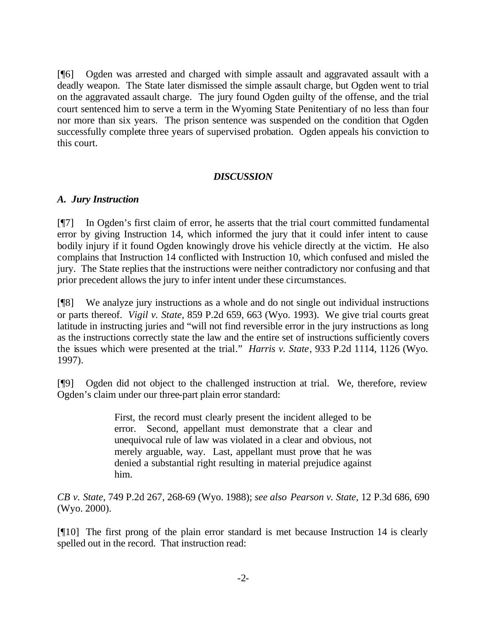[¶6] Ogden was arrested and charged with simple assault and aggravated assault with a deadly weapon. The State later dismissed the simple assault charge, but Ogden went to trial on the aggravated assault charge. The jury found Ogden guilty of the offense, and the trial court sentenced him to serve a term in the Wyoming State Penitentiary of no less than four nor more than six years. The prison sentence was suspended on the condition that Ogden successfully complete three years of supervised probation. Ogden appeals his conviction to this court.

## *DISCUSSION*

## *A. Jury Instruction*

[¶7] In Ogden's first claim of error, he asserts that the trial court committed fundamental error by giving Instruction 14, which informed the jury that it could infer intent to cause bodily injury if it found Ogden knowingly drove his vehicle directly at the victim. He also complains that Instruction 14 conflicted with Instruction 10, which confused and misled the jury. The State replies that the instructions were neither contradictory nor confusing and that prior precedent allows the jury to infer intent under these circumstances.

[¶8] We analyze jury instructions as a whole and do not single out individual instructions or parts thereof. *Vigil v. State*, 859 P.2d 659, 663 (Wyo. 1993). We give trial courts great latitude in instructing juries and "will not find reversible error in the jury instructions as long as the instructions correctly state the law and the entire set of instructions sufficiently covers the issues which were presented at the trial*.*" *Harris v. State*, 933 P.2d 1114, 1126 (Wyo. 1997).

[¶9] Ogden did not object to the challenged instruction at trial. We, therefore, review Ogden's claim under our three-part plain error standard:

> First, the record must clearly present the incident alleged to be error. Second, appellant must demonstrate that a clear and unequivocal rule of law was violated in a clear and obvious, not merely arguable, way. Last, appellant must prove that he was denied a substantial right resulting in material prejudice against him.

*CB v. State*, 749 P.2d 267, 268-69 (Wyo. 1988); *see also Pearson v. State*, 12 P.3d 686, 690 (Wyo. 2000).

[¶10] The first prong of the plain error standard is met because Instruction 14 is clearly spelled out in the record. That instruction read: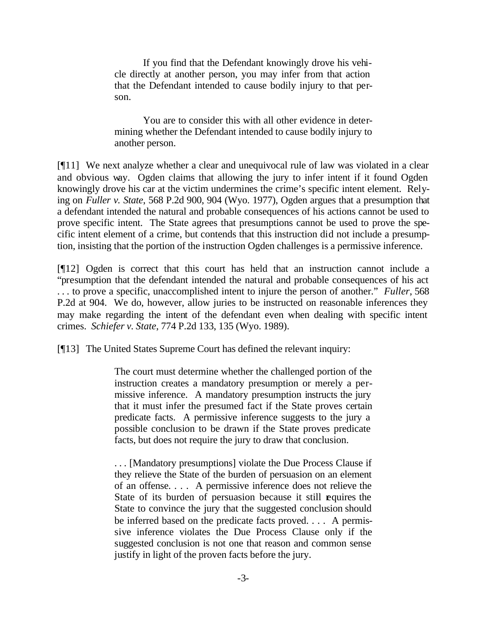If you find that the Defendant knowingly drove his vehicle directly at another person, you may infer from that action that the Defendant intended to cause bodily injury to that person.

You are to consider this with all other evidence in determining whether the Defendant intended to cause bodily injury to another person.

[¶11] We next analyze whether a clear and unequivocal rule of law was violated in a clear and obvious way. Ogden claims that allowing the jury to infer intent if it found Ogden knowingly drove his car at the victim undermines the crime's specific intent element. Relying on *Fuller v. State*, 568 P.2d 900, 904 (Wyo. 1977), Ogden argues that a presumption that a defendant intended the natural and probable consequences of his actions cannot be used to prove specific intent. The State agrees that presumptions cannot be used to prove the specific intent element of a crime, but contends that this instruction did not include a presumption, insisting that the portion of the instruction Ogden challenges is a permissive inference.

[¶12] Ogden is correct that this court has held that an instruction cannot include a "presumption that the defendant intended the natural and probable consequences of his act . . . to prove a specific, unaccomplished intent to injure the person of another." *Fuller*, 568 P.2d at 904. We do, however, allow juries to be instructed on reasonable inferences they may make regarding the intent of the defendant even when dealing with specific intent crimes. *Schiefer v. State*, 774 P.2d 133, 135 (Wyo. 1989).

[¶13] The United States Supreme Court has defined the relevant inquiry:

The court must determine whether the challenged portion of the instruction creates a mandatory presumption or merely a permissive inference. A mandatory presumption instructs the jury that it must infer the presumed fact if the State proves certain predicate facts. A permissive inference suggests to the jury a possible conclusion to be drawn if the State proves predicate facts, but does not require the jury to draw that conclusion.

. . . [Mandatory presumptions] violate the Due Process Clause if they relieve the State of the burden of persuasion on an element of an offense. . . . A permissive inference does not relieve the State of its burden of persuasion because it still equires the State to convince the jury that the suggested conclusion should be inferred based on the predicate facts proved. . . . A permissive inference violates the Due Process Clause only if the suggested conclusion is not one that reason and common sense justify in light of the proven facts before the jury.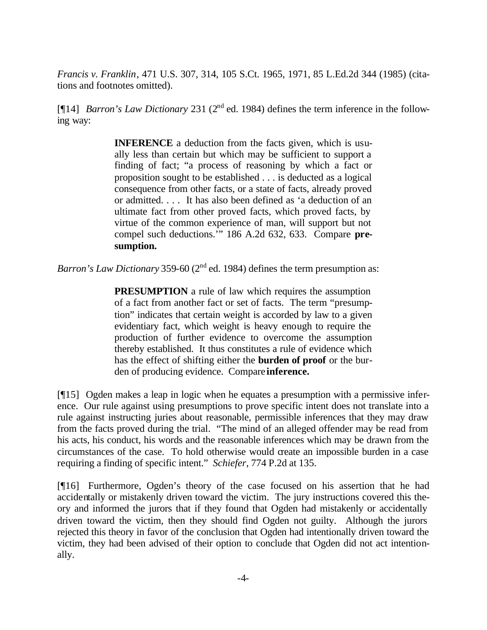*Francis v. Franklin*, 471 U.S. 307, 314, 105 S.Ct. 1965, 1971, 85 L.Ed.2d 344 (1985) (citations and footnotes omitted).

[¶14] *Barron's Law Dictionary* 231 (2<sup>nd</sup> ed. 1984) defines the term inference in the following way:

> **INFERENCE** a deduction from the facts given, which is usually less than certain but which may be sufficient to support a finding of fact; "a process of reasoning by which a fact or proposition sought to be established . . . is deducted as a logical consequence from other facts, or a state of facts, already proved or admitted. . . . It has also been defined as 'a deduction of an ultimate fact from other proved facts, which proved facts, by virtue of the common experience of man, will support but not compel such deductions.'" 186 A.2d 632, 633. Compare **presumption.**

*Barron's Law Dictionary* 359-60 (2<sup>nd</sup> ed. 1984) defines the term presumption as:

**PRESUMPTION** a rule of law which requires the assumption of a fact from another fact or set of facts. The term "presumption" indicates that certain weight is accorded by law to a given evidentiary fact, which weight is heavy enough to require the production of further evidence to overcome the assumption thereby established. It thus constitutes a rule of evidence which has the effect of shifting either the **burden of proof** or the burden of producing evidence. Compare **inference.**

[¶15] Ogden makes a leap in logic when he equates a presumption with a permissive inference. Our rule against using presumptions to prove specific intent does not translate into a rule against instructing juries about reasonable, permissible inferences that they may draw from the facts proved during the trial. "The mind of an alleged offender may be read from his acts, his conduct, his words and the reasonable inferences which may be drawn from the circumstances of the case. To hold otherwise would create an impossible burden in a case requiring a finding of specific intent." *Schiefer*, 774 P.2d at 135.

[¶16] Furthermore, Ogden's theory of the case focused on his assertion that he had accidentally or mistakenly driven toward the victim. The jury instructions covered this theory and informed the jurors that if they found that Ogden had mistakenly or accidentally driven toward the victim, then they should find Ogden not guilty. Although the jurors rejected this theory in favor of the conclusion that Ogden had intentionally driven toward the victim, they had been advised of their option to conclude that Ogden did not act intentionally.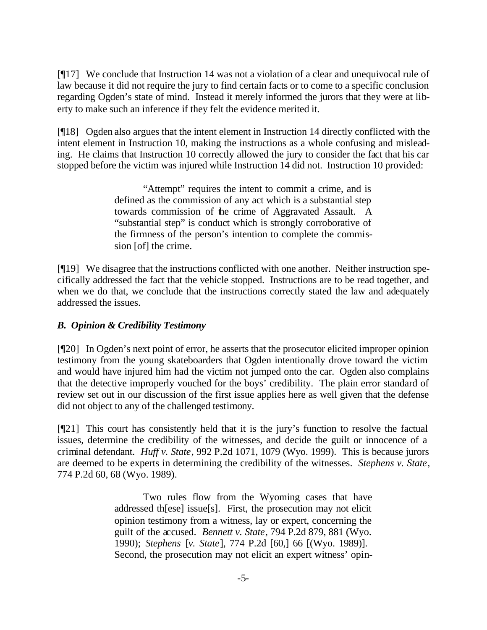[¶17] We conclude that Instruction 14 was not a violation of a clear and unequivocal rule of law because it did not require the jury to find certain facts or to come to a specific conclusion regarding Ogden's state of mind. Instead it merely informed the jurors that they were at liberty to make such an inference if they felt the evidence merited it.

[¶18] Ogden also argues that the intent element in Instruction 14 directly conflicted with the intent element in Instruction 10, making the instructions as a whole confusing and misleading. He claims that Instruction 10 correctly allowed the jury to consider the fact that his car stopped before the victim was injured while Instruction 14 did not. Instruction 10 provided:

> "Attempt" requires the intent to commit a crime, and is defined as the commission of any act which is a substantial step towards commission of the crime of Aggravated Assault. A "substantial step" is conduct which is strongly corroborative of the firmness of the person's intention to complete the commission [of] the crime.

[¶19] We disagree that the instructions conflicted with one another. Neither instruction specifically addressed the fact that the vehicle stopped. Instructions are to be read together, and when we do that, we conclude that the instructions correctly stated the law and adequately addressed the issues.

# *B. Opinion & Credibility Testimony*

[¶20] In Ogden's next point of error, he asserts that the prosecutor elicited improper opinion testimony from the young skateboarders that Ogden intentionally drove toward the victim and would have injured him had the victim not jumped onto the car. Ogden also complains that the detective improperly vouched for the boys' credibility. The plain error standard of review set out in our discussion of the first issue applies here as well given that the defense did not object to any of the challenged testimony.

[¶21] This court has consistently held that it is the jury's function to resolve the factual issues, determine the credibility of the witnesses, and decide the guilt or innocence of a criminal defendant. *Huff v. State*, 992 P.2d 1071, 1079 (Wyo. 1999). This is because jurors are deemed to be experts in determining the credibility of the witnesses. *Stephens v. State*, 774 P.2d 60, 68 (Wyo. 1989).

> Two rules flow from the Wyoming cases that have addressed th[ese] issue[s]. First, the prosecution may not elicit opinion testimony from a witness, lay or expert, concerning the guilt of the accused. *Bennett v. State*, 794 P.2d 879, 881 (Wyo. 1990); *Stephens* [*v. State*], 774 P.2d [60,] 66 [(Wyo. 1989)]. Second, the prosecution may not elicit an expert witness' opin-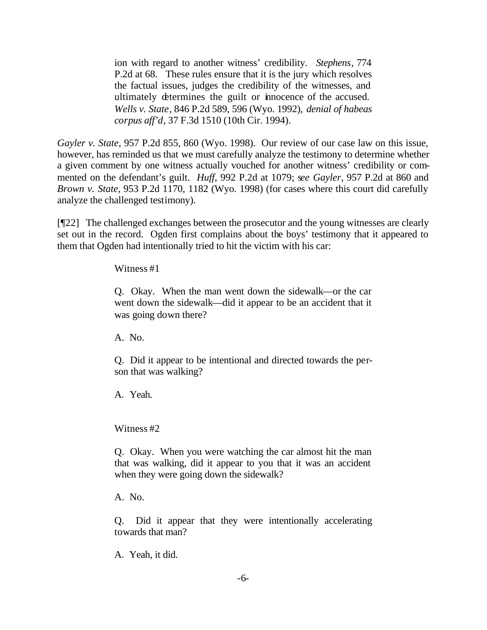ion with regard to another witness' credibility. *Stephens*, 774 P.2d at 68. These rules ensure that it is the jury which resolves the factual issues, judges the credibility of the witnesses, and ultimately determines the guilt or innocence of the accused. *Wells v. State*, 846 P.2d 589, 596 (Wyo. 1992), *denial of habeas corpus aff'd*, 37 F.3d 1510 (10th Cir. 1994).

*Gayler v. State*, 957 P.2d 855, 860 (Wyo. 1998). Our review of our case law on this issue, however, has reminded us that we must carefully analyze the testimony to determine whether a given comment by one witness actually vouched for another witness' credibility or commented on the defendant's guilt. *Huff*, 992 P.2d at 1079; s*ee Gayler*, 957 P.2d at 860 and *Brown v. State*, 953 P.2d 1170, 1182 (Wyo. 1998) (for cases where this court did carefully analyze the challenged testimony).

[¶22] The challenged exchanges between the prosecutor and the young witnesses are clearly set out in the record. Ogden first complains about the boys' testimony that it appeared to them that Ogden had intentionally tried to hit the victim with his car:

Witness #1

Q. Okay. When the man went down the sidewalk—or the car went down the sidewalk—did it appear to be an accident that it was going down there?

A. No.

Q. Did it appear to be intentional and directed towards the person that was walking?

A. Yeah.

Witness #2

Q. Okay. When you were watching the car almost hit the man that was walking, did it appear to you that it was an accident when they were going down the sidewalk?

A. No.

Q. Did it appear that they were intentionally accelerating towards that man?

A. Yeah, it did.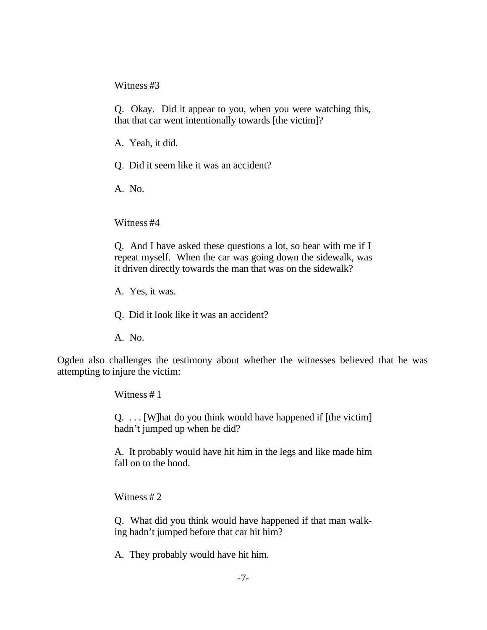Witness #3

Q. Okay. Did it appear to you, when you were watching this, that that car went intentionally towards [the victim]?

A. Yeah, it did.

Q. Did it seem like it was an accident?

A. No.

Witness #4

Q. And I have asked these questions a lot, so bear with me if I repeat myself. When the car was going down the sidewalk, was it driven directly towards the man that was on the sidewalk?

A. Yes, it was.

Q. Did it look like it was an accident?

A. No.

Ogden also challenges the testimony about whether the witnesses believed that he was attempting to injure the victim:

Witness #1

Q. . . . [W]hat do you think would have happened if [the victim] hadn't jumped up when he did?

A. It probably would have hit him in the legs and like made him fall on to the hood.

Witness #2

Q. What did you think would have happened if that man walking hadn't jumped before that car hit him?

A. They probably would have hit him.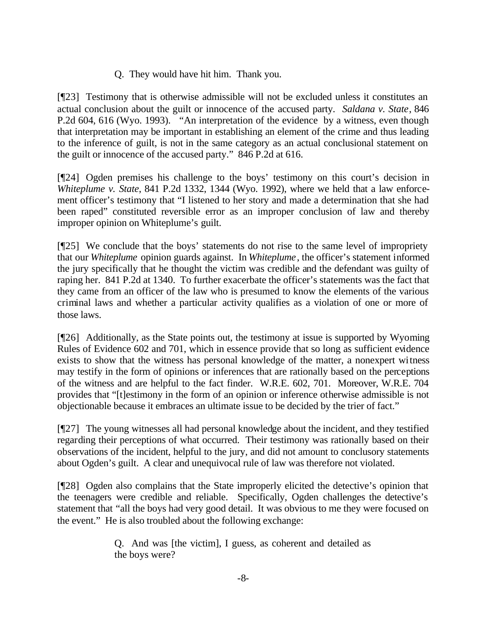# Q. They would have hit him. Thank you.

[¶23] Testimony that is otherwise admissible will not be excluded unless it constitutes an actual conclusion about the guilt or innocence of the accused party. *Saldana v. State*, 846 P.2d 604, 616 (Wyo. 1993). "An interpretation of the evidence by a witness, even though that interpretation may be important in establishing an element of the crime and thus leading to the inference of guilt, is not in the same category as an actual conclusional statement on the guilt or innocence of the accused party." 846 P.2d at 616.

[¶24] Ogden premises his challenge to the boys' testimony on this court's decision in *Whiteplume v. State*, 841 P.2d 1332, 1344 (Wyo. 1992), where we held that a law enforcement officer's testimony that "I listened to her story and made a determination that she had been raped" constituted reversible error as an improper conclusion of law and thereby improper opinion on Whiteplume's guilt.

[¶25] We conclude that the boys' statements do not rise to the same level of impropriety that our *Whiteplume* opinion guards against. In *Whiteplume*, the officer's statement informed the jury specifically that he thought the victim was credible and the defendant was guilty of raping her. 841 P.2d at 1340. To further exacerbate the officer's statements was the fact that they came from an officer of the law who is presumed to know the elements of the various criminal laws and whether a particular activity qualifies as a violation of one or more of those laws.

[¶26] Additionally, as the State points out, the testimony at issue is supported by Wyoming Rules of Evidence 602 and 701, which in essence provide that so long as sufficient evidence exists to show that the witness has personal knowledge of the matter, a nonexpert witness may testify in the form of opinions or inferences that are rationally based on the perceptions of the witness and are helpful to the fact finder. W.R.E. 602, 701. Moreover, W.R.E. 704 provides that "[t]estimony in the form of an opinion or inference otherwise admissible is not objectionable because it embraces an ultimate issue to be decided by the trier of fact."

[¶27] The young witnesses all had personal knowledge about the incident, and they testified regarding their perceptions of what occurred. Their testimony was rationally based on their observations of the incident, helpful to the jury, and did not amount to conclusory statements about Ogden's guilt. A clear and unequivocal rule of law was therefore not violated.

[¶28] Ogden also complains that the State improperly elicited the detective's opinion that the teenagers were credible and reliable. Specifically, Ogden challenges the detective's statement that "all the boys had very good detail. It was obvious to me they were focused on the event." He is also troubled about the following exchange:

> Q. And was [the victim], I guess, as coherent and detailed as the boys were?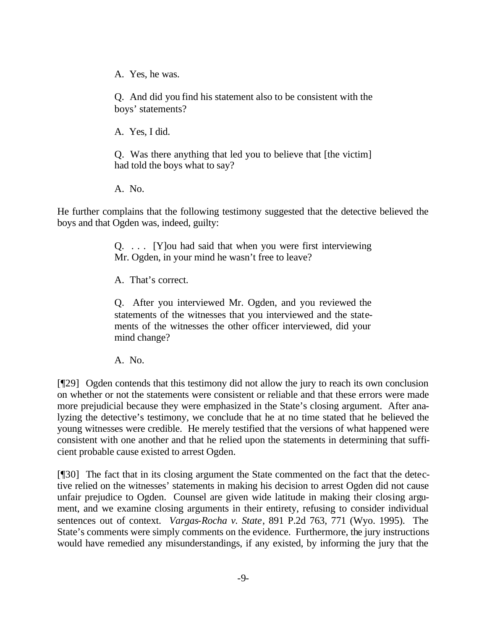A. Yes, he was.

Q. And did you find his statement also to be consistent with the boys' statements?

A. Yes, I did.

Q. Was there anything that led you to believe that [the victim] had told the boys what to say?

A. No.

He further complains that the following testimony suggested that the detective believed the boys and that Ogden was, indeed, guilty:

> Q. . . . [Y]ou had said that when you were first interviewing Mr. Ogden, in your mind he wasn't free to leave?

A. That's correct.

Q. After you interviewed Mr. Ogden, and you reviewed the statements of the witnesses that you interviewed and the statements of the witnesses the other officer interviewed, did your mind change?

A. No.

[¶29] Ogden contends that this testimony did not allow the jury to reach its own conclusion on whether or not the statements were consistent or reliable and that these errors were made more prejudicial because they were emphasized in the State's closing argument. After analyzing the detective's testimony, we conclude that he at no time stated that he believed the young witnesses were credible. He merely testified that the versions of what happened were consistent with one another and that he relied upon the statements in determining that sufficient probable cause existed to arrest Ogden.

[¶30] The fact that in its closing argument the State commented on the fact that the detective relied on the witnesses' statements in making his decision to arrest Ogden did not cause unfair prejudice to Ogden. Counsel are given wide latitude in making their closing argument, and we examine closing arguments in their entirety, refusing to consider individual sentences out of context. *Vargas-Rocha v. State*, 891 P.2d 763, 771 (Wyo. 1995). The State's comments were simply comments on the evidence. Furthermore, the jury instructions would have remedied any misunderstandings, if any existed, by informing the jury that the